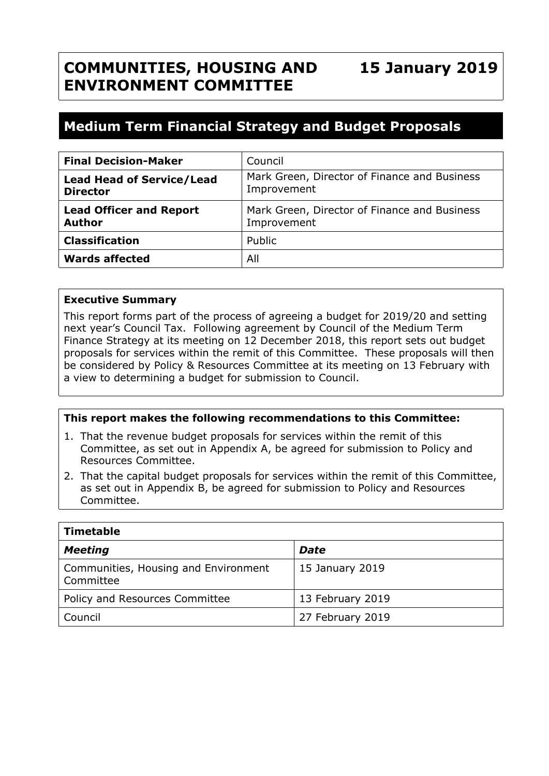# **COMMUNITIES, HOUSING AND ENVIRONMENT COMMITTEE**

## **Medium Term Financial Strategy and Budget Proposals**

| <b>Final Decision-Maker</b>                         | Council                                                     |
|-----------------------------------------------------|-------------------------------------------------------------|
| <b>Lead Head of Service/Lead</b><br><b>Director</b> | Mark Green, Director of Finance and Business<br>Improvement |
| <b>Lead Officer and Report</b><br><b>Author</b>     | Mark Green, Director of Finance and Business<br>Improvement |
| <b>Classification</b>                               | Public                                                      |
| <b>Wards affected</b>                               | All                                                         |

#### **Executive Summary**

This report forms part of the process of agreeing a budget for 2019/20 and setting next year's Council Tax. Following agreement by Council of the Medium Term Finance Strategy at its meeting on 12 December 2018, this report sets out budget proposals for services within the remit of this Committee. These proposals will then be considered by Policy & Resources Committee at its meeting on 13 February with a view to determining a budget for submission to Council.

#### **This report makes the following recommendations to this Committee:**

- 1. That the revenue budget proposals for services within the remit of this Committee, as set out in Appendix A, be agreed for submission to Policy and Resources Committee.
- 2. That the capital budget proposals for services within the remit of this Committee, as set out in Appendix B, be agreed for submission to Policy and Resources Committee.

| Timetable                                         |                  |  |  |
|---------------------------------------------------|------------------|--|--|
| <b>Meeting</b>                                    | Date             |  |  |
| Communities, Housing and Environment<br>Committee | 15 January 2019  |  |  |
| Policy and Resources Committee                    | 13 February 2019 |  |  |
| Council                                           | 27 February 2019 |  |  |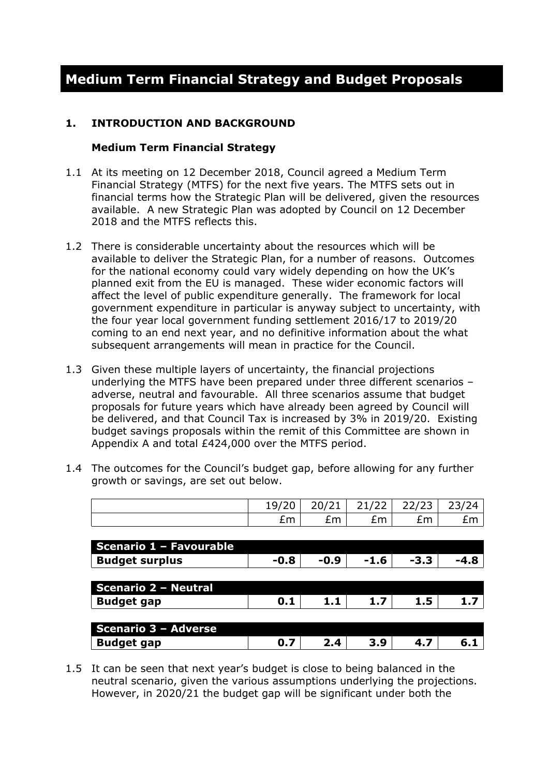### **1. INTRODUCTION AND BACKGROUND**

#### **Medium Term Financial Strategy**

- 1.1 At its meeting on 12 December 2018, Council agreed a Medium Term Financial Strategy (MTFS) for the next five years. The MTFS sets out in financial terms how the Strategic Plan will be delivered, given the resources available. A new Strategic Plan was adopted by Council on 12 December 2018 and the MTFS reflects this.
- 1.2 There is considerable uncertainty about the resources which will be available to deliver the Strategic Plan, for a number of reasons. Outcomes for the national economy could vary widely depending on how the UK's planned exit from the EU is managed. These wider economic factors will affect the level of public expenditure generally. The framework for local government expenditure in particular is anyway subject to uncertainty, with the four year local government funding settlement 2016/17 to 2019/20 coming to an end next year, and no definitive information about the what subsequent arrangements will mean in practice for the Council.
- 1.3 Given these multiple layers of uncertainty, the financial projections underlying the MTFS have been prepared under three different scenarios – adverse, neutral and favourable. All three scenarios assume that budget proposals for future years which have already been agreed by Council will be delivered, and that Council Tax is increased by 3% in 2019/20. Existing budget savings proposals within the remit of this Committee are shown in Appendix A and total £424,000 over the MTFS period.
- 1.4 The outcomes for the Council's budget gap, before allowing for any further growth or savings, are set out below.

|                             | 19/20  | 20/21  | 21/22  | 22/23  | 23/24  |
|-----------------------------|--------|--------|--------|--------|--------|
|                             | £m     | £m     | Em     | £m     | £m     |
|                             |        |        |        |        |        |
| Scenario 1 - Favourable     |        |        |        |        |        |
| <b>Budget surplus</b>       | $-0.8$ | $-0.9$ | $-1.6$ | $-3.3$ | $-4.8$ |
|                             |        |        |        |        |        |
| <b>Scenario 2 - Neutral</b> |        |        |        |        |        |
| <b>Budget gap</b>           | 0.1    | 1.1    | 1.7    | 1.5    | 1.7    |
|                             |        |        |        |        |        |
| Scenario 3 - Adverse        |        |        |        |        |        |
| <b>Budget gap</b>           | 0.7    | 2.4    | 3.9    | 4.7    | 6.1    |

1.5 It can be seen that next year's budget is close to being balanced in the neutral scenario, given the various assumptions underlying the projections. However, in 2020/21 the budget gap will be significant under both the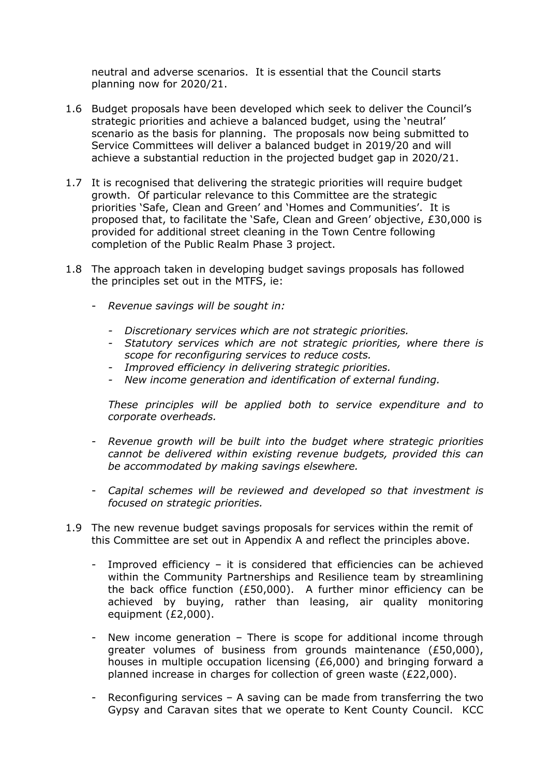neutral and adverse scenarios. It is essential that the Council starts planning now for 2020/21.

- 1.6 Budget proposals have been developed which seek to deliver the Council's strategic priorities and achieve a balanced budget, using the 'neutral' scenario as the basis for planning. The proposals now being submitted to Service Committees will deliver a balanced budget in 2019/20 and will achieve a substantial reduction in the projected budget gap in 2020/21.
- 1.7 It is recognised that delivering the strategic priorities will require budget growth. Of particular relevance to this Committee are the strategic priorities 'Safe, Clean and Green' and 'Homes and Communities'. It is proposed that, to facilitate the 'Safe, Clean and Green' objective, £30,000 is provided for additional street cleaning in the Town Centre following completion of the Public Realm Phase 3 project.
- 1.8 The approach taken in developing budget savings proposals has followed the principles set out in the MTFS, ie:
	- *Revenue savings will be sought in:*
		- *- Discretionary services which are not strategic priorities.*
		- *- Statutory services which are not strategic priorities, where there is scope for reconfiguring services to reduce costs.*
		- *- Improved efficiency in delivering strategic priorities.*
		- *- New income generation and identification of external funding.*

*These principles will be applied both to service expenditure and to corporate overheads.*

- *Revenue growth will be built into the budget where strategic priorities cannot be delivered within existing revenue budgets, provided this can be accommodated by making savings elsewhere.*
- *Capital schemes will be reviewed and developed so that investment is focused on strategic priorities.*
- 1.9 The new revenue budget savings proposals for services within the remit of this Committee are set out in Appendix A and reflect the principles above.
	- Improved efficiency it is considered that efficiencies can be achieved within the Community Partnerships and Resilience team by streamlining the back office function (£50,000). A further minor efficiency can be achieved by buying, rather than leasing, air quality monitoring equipment (£2,000).
	- New income generation There is scope for additional income through greater volumes of business from grounds maintenance (£50,000), houses in multiple occupation licensing (£6,000) and bringing forward a planned increase in charges for collection of green waste (£22,000).
	- Reconfiguring services  $-$  A saving can be made from transferring the two Gypsy and Caravan sites that we operate to Kent County Council. KCC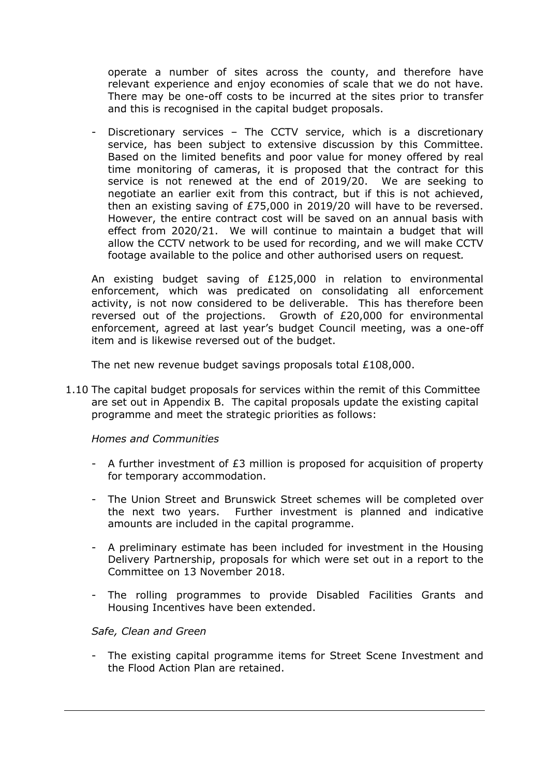operate a number of sites across the county, and therefore have relevant experience and enjoy economies of scale that we do not have. There may be one-off costs to be incurred at the sites prior to transfer and this is recognised in the capital budget proposals.

Discretionary services – The CCTV service, which is a discretionary service, has been subject to extensive discussion by this Committee. Based on the limited benefits and poor value for money offered by real time monitoring of cameras, it is proposed that the contract for this service is not renewed at the end of 2019/20. We are seeking to negotiate an earlier exit from this contract, but if this is not achieved, then an existing saving of £75,000 in 2019/20 will have to be reversed. However, the entire contract cost will be saved on an annual basis with effect from 2020/21. We will continue to maintain a budget that will allow the CCTV network to be used for recording, and we will make CCTV footage available to the police and other authorised users on request*.*

An existing budget saving of £125,000 in relation to environmental enforcement, which was predicated on consolidating all enforcement activity, is not now considered to be deliverable. This has therefore been reversed out of the projections. Growth of £20,000 for environmental enforcement, agreed at last year's budget Council meeting, was a one-off item and is likewise reversed out of the budget.

The net new revenue budget savings proposals total £108,000.

1.10 The capital budget proposals for services within the remit of this Committee are set out in Appendix B. The capital proposals update the existing capital programme and meet the strategic priorities as follows:

#### *Homes and Communities*

- A further investment of £3 million is proposed for acquisition of property for temporary accommodation.
- The Union Street and Brunswick Street schemes will be completed over the next two years. Further investment is planned and indicative amounts are included in the capital programme.
- A preliminary estimate has been included for investment in the Housing Delivery Partnership, proposals for which were set out in a report to the Committee on 13 November 2018.
- The rolling programmes to provide Disabled Facilities Grants and Housing Incentives have been extended.

#### *Safe, Clean and Green*

The existing capital programme items for Street Scene Investment and the Flood Action Plan are retained.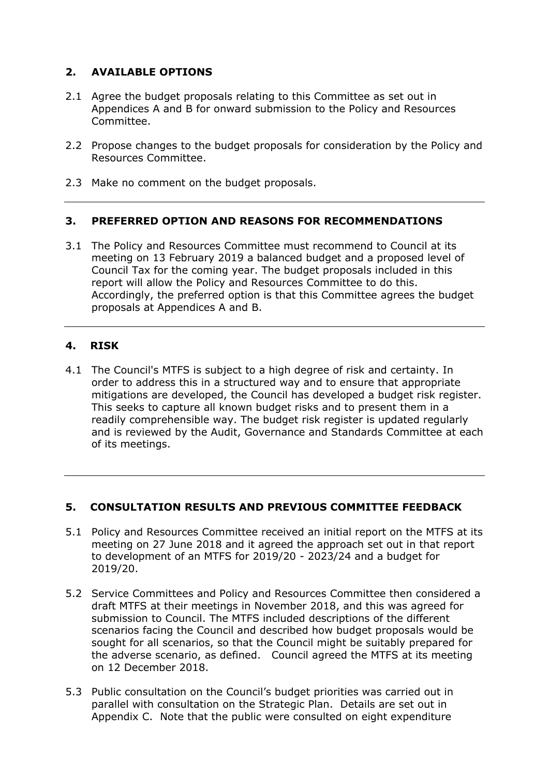## **2. AVAILABLE OPTIONS**

- 2.1 Agree the budget proposals relating to this Committee as set out in Appendices A and B for onward submission to the Policy and Resources Committee.
- 2.2 Propose changes to the budget proposals for consideration by the Policy and Resources Committee.
- 2.3 Make no comment on the budget proposals.

#### **3. PREFERRED OPTION AND REASONS FOR RECOMMENDATIONS**

3.1 The Policy and Resources Committee must recommend to Council at its meeting on 13 February 2019 a balanced budget and a proposed level of Council Tax for the coming year. The budget proposals included in this report will allow the Policy and Resources Committee to do this. Accordingly, the preferred option is that this Committee agrees the budget proposals at Appendices A and B.

## **4. RISK**

4.1 The Council's MTFS is subject to a high degree of risk and certainty. In order to address this in a structured way and to ensure that appropriate mitigations are developed, the Council has developed a budget risk register. This seeks to capture all known budget risks and to present them in a readily comprehensible way. The budget risk register is updated regularly and is reviewed by the Audit, Governance and Standards Committee at each of its meetings.

## **5. CONSULTATION RESULTS AND PREVIOUS COMMITTEE FEEDBACK**

- 5.1 Policy and Resources Committee received an initial report on the MTFS at its meeting on 27 June 2018 and it agreed the approach set out in that report to development of an MTFS for 2019/20 - 2023/24 and a budget for 2019/20.
- 5.2 Service Committees and Policy and Resources Committee then considered a draft MTFS at their meetings in November 2018, and this was agreed for submission to Council. The MTFS included descriptions of the different scenarios facing the Council and described how budget proposals would be sought for all scenarios, so that the Council might be suitably prepared for the adverse scenario, as defined. Council agreed the MTFS at its meeting on 12 December 2018.
- 5.3 Public consultation on the Council's budget priorities was carried out in parallel with consultation on the Strategic Plan. Details are set out in Appendix C. Note that the public were consulted on eight expenditure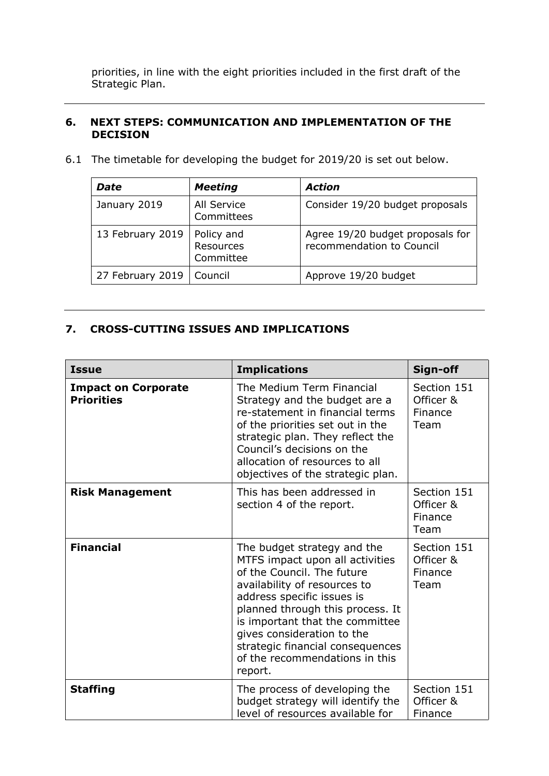priorities, in line with the eight priorities included in the first draft of the Strategic Plan.

#### **6. NEXT STEPS: COMMUNICATION AND IMPLEMENTATION OF THE DECISION**

6.1 The timetable for developing the budget for 2019/20 is set out below.

| <b>Date</b>      | <b>Meeting</b>                       | <b>Action</b>                                                 |
|------------------|--------------------------------------|---------------------------------------------------------------|
| January 2019     | All Service<br>Committees            | Consider 19/20 budget proposals                               |
| 13 February 2019 | Policy and<br>Resources<br>Committee | Agree 19/20 budget proposals for<br>recommendation to Council |
| 27 February 2019 | Council                              | Approve 19/20 budget                                          |

#### **7. CROSS-CUTTING ISSUES AND IMPLICATIONS**

| <b>Issue</b>                                    | <b>Implications</b>                                                                                                                                                                                                                                                                                                                              | Sign-off                                    |
|-------------------------------------------------|--------------------------------------------------------------------------------------------------------------------------------------------------------------------------------------------------------------------------------------------------------------------------------------------------------------------------------------------------|---------------------------------------------|
| <b>Impact on Corporate</b><br><b>Priorities</b> | The Medium Term Financial<br>Strategy and the budget are a<br>re-statement in financial terms<br>of the priorities set out in the<br>strategic plan. They reflect the<br>Council's decisions on the<br>allocation of resources to all<br>objectives of the strategic plan.                                                                       | Section 151<br>Officer &<br>Finance<br>Team |
| <b>Risk Management</b>                          | This has been addressed in<br>section 4 of the report.                                                                                                                                                                                                                                                                                           | Section 151<br>Officer &<br>Finance<br>Team |
| <b>Financial</b>                                | The budget strategy and the<br>MTFS impact upon all activities<br>of the Council. The future<br>availability of resources to<br>address specific issues is<br>planned through this process. It<br>is important that the committee<br>gives consideration to the<br>strategic financial consequences<br>of the recommendations in this<br>report. | Section 151<br>Officer &<br>Finance<br>Team |
| <b>Staffing</b>                                 | The process of developing the<br>budget strategy will identify the<br>level of resources available for                                                                                                                                                                                                                                           | Section 151<br>Officer &<br>Finance         |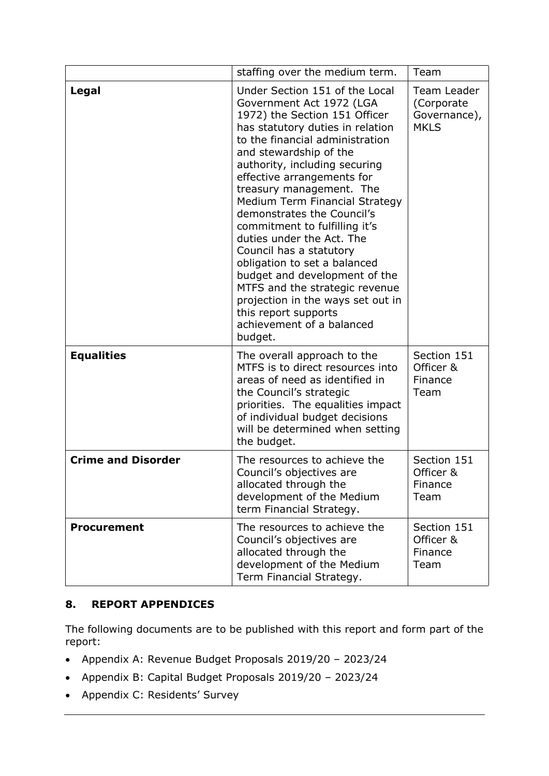|                           | staffing over the medium term.                                                                                                                                                                                                                                                                                                                                                                                                                                                                                                                                                                                                                           | Team                                                     |
|---------------------------|----------------------------------------------------------------------------------------------------------------------------------------------------------------------------------------------------------------------------------------------------------------------------------------------------------------------------------------------------------------------------------------------------------------------------------------------------------------------------------------------------------------------------------------------------------------------------------------------------------------------------------------------------------|----------------------------------------------------------|
| Legal                     | Under Section 151 of the Local<br>Government Act 1972 (LGA<br>1972) the Section 151 Officer<br>has statutory duties in relation<br>to the financial administration<br>and stewardship of the<br>authority, including securing<br>effective arrangements for<br>treasury management. The<br>Medium Term Financial Strategy<br>demonstrates the Council's<br>commitment to fulfilling it's<br>duties under the Act. The<br>Council has a statutory<br>obligation to set a balanced<br>budget and development of the<br>MTFS and the strategic revenue<br>projection in the ways set out in<br>this report supports<br>achievement of a balanced<br>budget. | Team Leader<br>(Corporate<br>Governance),<br><b>MKLS</b> |
| <b>Equalities</b>         | The overall approach to the<br>MTFS is to direct resources into<br>areas of need as identified in<br>the Council's strategic<br>priorities. The equalities impact<br>of individual budget decisions<br>will be determined when setting<br>the budget.                                                                                                                                                                                                                                                                                                                                                                                                    | Section 151<br>Officer &<br>Finance<br>Team              |
| <b>Crime and Disorder</b> | The resources to achieve the<br>Council's objectives are<br>allocated through the<br>development of the Medium<br>term Financial Strategy.                                                                                                                                                                                                                                                                                                                                                                                                                                                                                                               | Section 151<br>Officer &<br>Finance<br>Team              |
| <b>Procurement</b>        | The resources to achieve the<br>Council's objectives are<br>allocated through the<br>development of the Medium<br>Term Financial Strategy.                                                                                                                                                                                                                                                                                                                                                                                                                                                                                                               | Section 151<br>Officer &<br>Finance<br>Team              |

## **8. REPORT APPENDICES**

The following documents are to be published with this report and form part of the report:

- Appendix A: Revenue Budget Proposals 2019/20 2023/24
- Appendix B: Capital Budget Proposals 2019/20 2023/24
- Appendix C: Residents' Survey